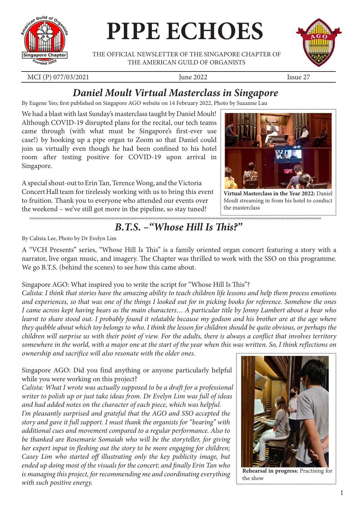

# **PIPE ECHOES**

THE OFFICIAL NEWSLETTER OF THE SINGAPORE CHAPTER OF THE AMERICAN GUILD OF ORGANISTS



MCI (P) 077/03/2021 **June 2022 June 2022** Issue 27

## *Daniel Moult Virtual Masterclass in Singapore*

By Eugene Yeo; first published on Singapore AGO website on 14 February 2022, Photo by Suzanne Lau

We had a blast with last Sunday's masterclass taught by Daniel Moult! Although COVID-19 disrupted plans for the recital, our tech teams came through (with what must be Singapore's first-ever use case!) by hooking up a pipe organ to Zoom so that Daniel could join us virtually even though he had been confined to his hotel room after testing positive for COVID-19 upon arrival in Singapore.

A special shout-out to Erin Tan, Terence Wong, and the Victoria Concert Hall team for tirelessly working with us to bring this event to fruition. Thank you to everyone who attended our events over the weekend – we've still got more in the pipeline, so stay tuned!



**Virtual Masterclass in the Year 2022:** Daniel Moult streaming in from his hotel to conduct the masterclass

## *B.T.S. –"Whose Hill Is This?"*

By Calista Lee, Photo by Dr Evelyn Lim

A "VCH Presents" series, "Whose Hill Is This" is a family oriented organ concert featuring a story with a narrator, live organ music, and imagery. The Chapter was thrilled to work with the SSO on this programme. We go B.T.S. (behind the scenes) to see how this came about.

#### Singapore AGO: What inspired you to write the script for "Whose Hill Is This"?

*Calista: I think that stories have the amazing ability to teach children life lessons and help them process emotions and experiences, so that was one of the things I looked out for in picking books for reference. Somehow the ones I came across kept having bears as the main characters… A particular title by Jonny Lambert about a bear who learnt to share stood out. I probably found it relatable because my godson and his brother are at the age where they quibble about which toy belongs to who. I think the lesson for children should be quite obvious, or perhaps the children will surprise us with their point of view. For the adults, there is always a conflict that involves territory somewhere in the world, with a major one at the start of the year when this was written. So, I think reflections on ownership and sacrifice will also resonate with the older ones.*

Singapore AGO: Did you find anything or anyone particularly helpful while you were working on this project?

*Calista: What I wrote was actually supposed to be a draft for a professional writer to polish up or just take ideas from. Dr Evelyn Lim was full of ideas and had added notes on the character of each piece, which was helpful.*

*I'm pleasantly surprised and grateful that the AGO and SSO accepted the story and gave it full support. I must thank the organists for "bearing" with additional cues and movement compared to a regular performance. Also to be thanked are Rosemarie Somaiah who will be the storyteller, for giving her expert input in fleshing out the story to be more engaging for children; Casey Lim who started off illustrating only the key publicity image, but ended up doing most of the visuals for the concert; and finally Erin Tan who is managing this project, for recommending me and coordinating everything with such positive energy.*



**Rehearsal in progress:** Practising for the show